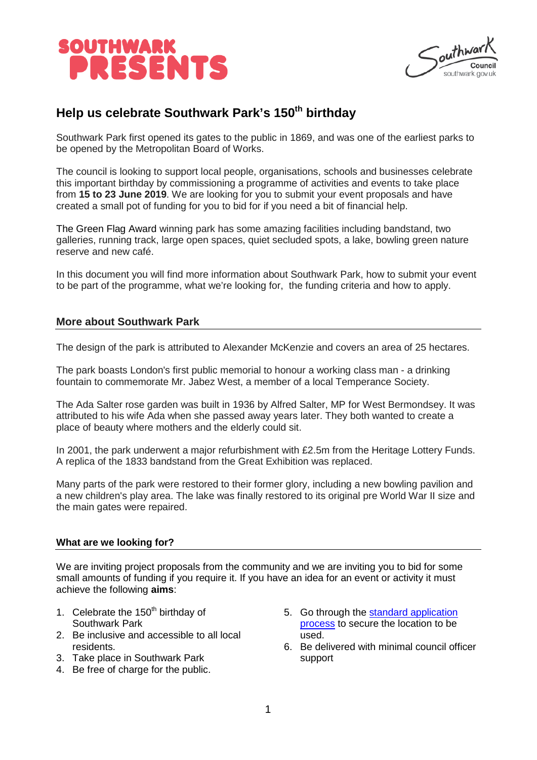

 $\int_{\text{out}}^{\text{in}}$ 

# **Help us celebrate Southwark Park's 150th birthday**

Southwark Park first opened its gates to the public in 1869, and was one of the earliest parks to be opened by the Metropolitan Board of Works.

The council is looking to support local people, organisations, schools and businesses celebrate this important birthday by commissioning a programme of activities and events to take place from **15 to 23 June 2019**. We are looking for you to submit your event proposals and have created a small pot of funding for you to bid for if you need a bit of financial help.

The Green Flag Award winning park has some amazing facilities including bandstand, two galleries, running track, large open spaces, quiet secluded spots, a lake, bowling green nature reserve and new café.

In this document you will find more information about Southwark Park, how to submit your event to be part of the programme, what we're looking for, the funding criteria and how to apply.

### **More about Southwark Park**

The design of the park is attributed to Alexander McKenzie and covers an area of 25 hectares.

The park boasts London's first public memorial to honour a working class man - a drinking fountain to commemorate Mr. Jabez West, a member of a local Temperance Society.

The Ada Salter rose garden was built in 1936 by Alfred Salter, MP for West Bermondsey. It was attributed to his wife Ada when she passed away years later. They both wanted to create a place of beauty where mothers and the elderly could sit.

In 2001, the park underwent a major refurbishment with £2.5m from the Heritage Lottery Funds. A replica of the 1833 bandstand from the Great Exhibition was replaced.

Many parts of the park were restored to their former glory, including a new bowling pavilion and a new children's play area. The lake was finally restored to its original pre World War II size and the main gates were repaired.

### **What are we looking for?**

We are inviting project proposals from the community and we are inviting you to bid for some small amounts of funding if you require it. If you have an idea for an event or activity it must achieve the following **aims**:

- 1. Celebrate the  $150<sup>th</sup>$  birthday of Southwark Park
- 2. Be inclusive and accessible to all local residents.
- 3. Take place in Southwark Park
- 4. Be free of charge for the public.
- 5. Go through the [standard application](http://www.southwark.gov.uk/events-culture-and-heritage/planning-an-event/planning-a-community-event)  [process](http://www.southwark.gov.uk/events-culture-and-heritage/planning-an-event/planning-a-community-event) to secure the location to be used.
- 6. Be delivered with minimal council officer support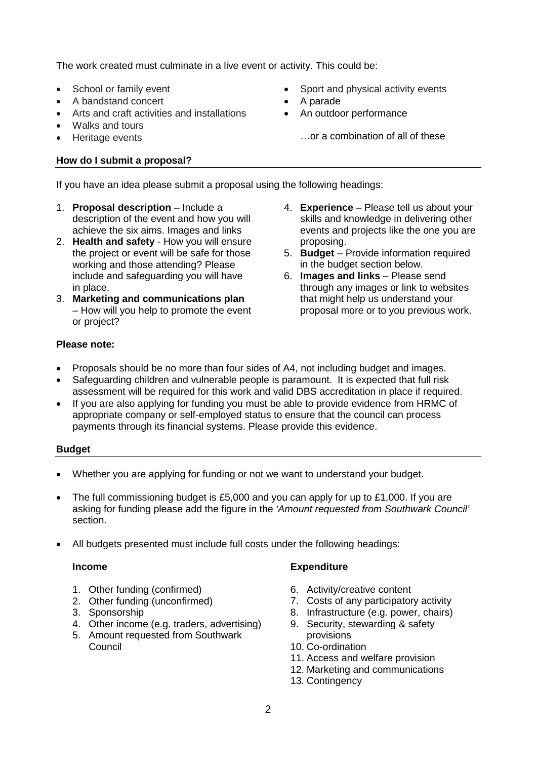The work created must culminate in a live event or activity. This could be:

- School or family event
- A bandstand concert
- Arts and craft activities and installations
- Walks and tours
- Heritage events

## **How do I submit a proposal?**

- Sport and physical activity events
- A parade
- An outdoor performance
	- …or a combination of all of these

If you have an idea please submit a proposal using the following headings:

- 1. **Proposal description** Include a description of the event and how you will achieve the six aims. Images and links
- 2. **Health and safety** How you will ensure the project or event will be safe for those working and those attending? Please include and safeguarding you will have in place.
- 3. **Marketing and communications plan** – How will you help to promote the event or project?
- 4. **Experience** Please tell us about your skills and knowledge in delivering other events and projects like the one you are proposing.
- 5. **Budget** Provide information required in the budget section below.
- 6. **Images and links**  Please send through any images or link to websites that might help us understand your proposal more or to you previous work.

## **Please note:**

- Proposals should be no more than four sides of A4, not including budget and images.
- Safeguarding children and vulnerable people is paramount. It is expected that full risk assessment will be required for this work and valid DBS accreditation in place if required.
- If you are also applying for funding you must be able to provide evidence from HRMC of appropriate company or self-employed status to ensure that the council can process payments through its financial systems. Please provide this evidence.

### **Budget**

- Whether you are applying for funding or not we want to understand your budget.
- The full commissioning budget is £5,000 and you can apply for up to £1,000. If you are asking for funding please add the figure in the *'Amount requested from Southwark Council'* section.
- All budgets presented must include full costs under the following headings:

### **Income**

- 1. Other funding (confirmed)
- 2. Other funding (unconfirmed)
- 3. Sponsorship
- 4. Other income (e.g. traders, advertising)
- 5. Amount requested from Southwark **Council**

## **Expenditure**

- 6. Activity/creative content
- 7. Costs of any participatory activity
- 8. Infrastructure (e.g. power, chairs)
- 9. Security, stewarding & safety provisions
- 10. Co-ordination
- 11. Access and welfare provision
- 12. Marketing and communications
- 13. Contingency